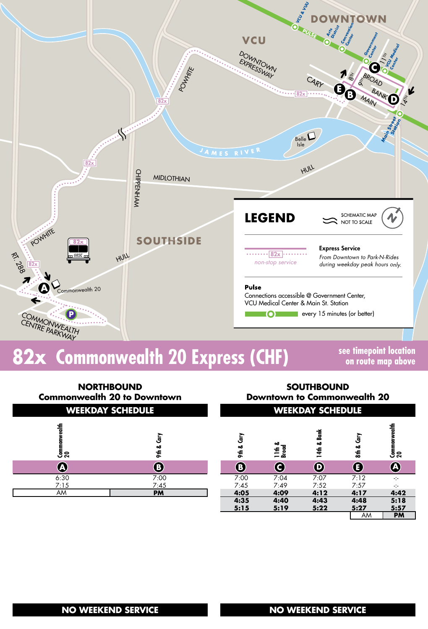

## **82x Commonwealth 20 Express (CHF) see timepoint location**

**on route map above**

AM **PM**

| <b>NORTHBOUND</b><br><b>Commonwealth 20 to Downtown</b><br><b>WEEKDAY SCHEDULE</b> |            |            | <b>SOUTHBOUND</b><br><b>Downtown to Commonwealth 20</b><br><b>WEEKDAY SCHEDULE</b> |                       |              |                                     |  |
|------------------------------------------------------------------------------------|------------|------------|------------------------------------------------------------------------------------|-----------------------|--------------|-------------------------------------|--|
| Commonwealth<br>20                                                                 | Ğ<br>9th & | ξ<br>9th & | 11th &<br>Broad                                                                    | <b>Bank</b><br>14th & | ξ<br>$8th$ & | Commonwealth<br>20                  |  |
| Q                                                                                  | $\bigcirc$ | $\bf{B}$   | C                                                                                  | $\boldsymbol{\Theta}$ | $\bf{(}$     | $\bigcirc$                          |  |
| 6:30                                                                               | 7:00       | 7:00       | 7:04                                                                               | 7:07                  | 7:12         | $\mathcal{L}^{\text{L}}_{\text{L}}$ |  |
| 7:15                                                                               | 7:45       | 7:45       | 7:49                                                                               | 7:52                  | 7:57         | ÷                                   |  |
| AM                                                                                 | <b>PM</b>  | 4:05       | 4:09                                                                               | 4:12                  | 4:17         | 4:42                                |  |
|                                                                                    |            | 4:35       | 4:40                                                                               | 4:43                  | 4:48         | 5:18                                |  |
|                                                                                    |            | 5:15       | 5:19                                                                               | 5:22                  | 5:27         | 5:57                                |  |